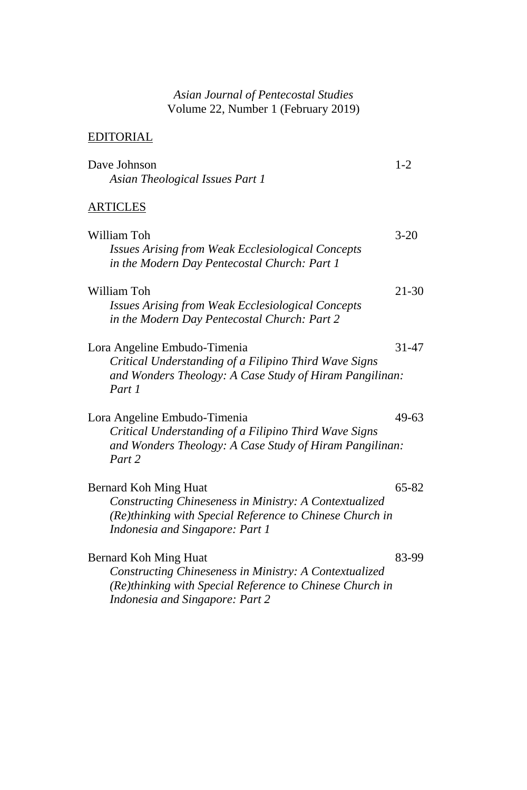## *Asian Journal of Pentecostal Studies* Volume 22, Number 1 (February 2019)

## EDITORIAL

| Dave Johnson                                                                                                                                                                          | $1-2$     |
|---------------------------------------------------------------------------------------------------------------------------------------------------------------------------------------|-----------|
| Asian Theological Issues Part 1                                                                                                                                                       |           |
| <b>ARTICLES</b>                                                                                                                                                                       |           |
| William Toh<br><b>Issues Arising from Weak Ecclesiological Concepts</b><br>in the Modern Day Pentecostal Church: Part 1                                                               | $3 - 20$  |
| William Toh<br><b>Issues Arising from Weak Ecclesiological Concepts</b><br>in the Modern Day Pentecostal Church: Part 2                                                               | $21 - 30$ |
| Lora Angeline Embudo-Timenia<br>Critical Understanding of a Filipino Third Wave Signs<br>and Wonders Theology: A Case Study of Hiram Pangilinan:<br>Part 1                            | 31-47     |
| Lora Angeline Embudo-Timenia<br>Critical Understanding of a Filipino Third Wave Signs<br>and Wonders Theology: A Case Study of Hiram Pangilinan:<br>Part 2                            | 49-63     |
| <b>Bernard Koh Ming Huat</b><br>Constructing Chineseness in Ministry: A Contextualized<br>(Re)thinking with Special Reference to Chinese Church in<br>Indonesia and Singapore: Part 1 | 65-82     |
| Bernard Koh Ming Huat<br>Constructing Chineseness in Ministry: A Contextualized<br>(Re)thinking with Special Reference to Chinese Church in                                           | 83-99     |

*Indonesia and Singapore: Part 2*